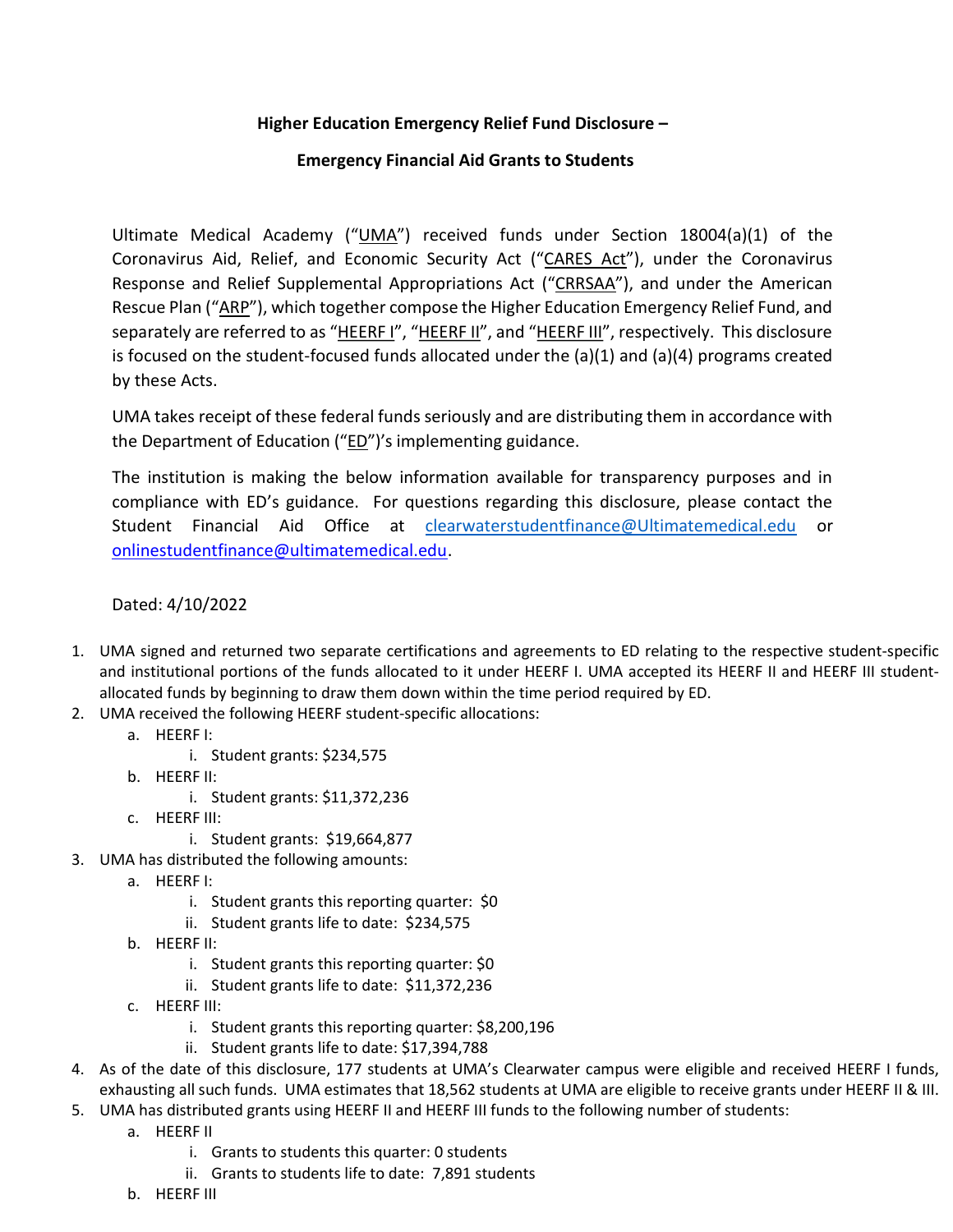## Higher Education Emergency Relief Fund Disclosure –

## Emergency Financial Aid Grants to Students

Ultimate Medical Academy ("UMA") received funds under Section 18004(a)(1) of the Coronavirus Aid, Relief, and Economic Security Act ("CARES Act"), under the Coronavirus Response and Relief Supplemental Appropriations Act ("CRRSAA"), and under the American Rescue Plan ("ARP"), which together compose the Higher Education Emergency Relief Fund, and separately are referred to as "HEERF I", "HEERF II", and "HEERF III", respectively. This disclosure is focused on the student-focused funds allocated under the  $(a)(1)$  and  $(a)(4)$  programs created by these Acts.

UMA takes receipt of these federal funds seriously and are distributing them in accordance with the Department of Education ("ED")'s implementing guidance.

The institution is making the below information available for transparency purposes and in compliance with ED's guidance. For questions regarding this disclosure, please contact the Student Financial Aid Office at clearwaterstudentfinance@Ultimatemedical.edu or onlinestudentfinance@ultimatemedical.edu.

## Dated: 4/10/2022

- 1. UMA signed and returned two separate certifications and agreements to ED relating to the respective student-specific and institutional portions of the funds allocated to it under HEERF I. UMA accepted its HEERF II and HEERF III studentallocated funds by beginning to draw them down within the time period required by ED.
- 2. UMA received the following HEERF student-specific allocations:
	- a. HEERF I:
		- i. Student grants: \$234,575
	- b. HEERF II:
		- i. Student grants: \$11,372,236
	- c. HEERF III:
		- i. Student grants: \$19,664,877
- 3. UMA has distributed the following amounts:
	- a. HEERF I:
		- i. Student grants this reporting quarter: \$0
		- ii. Student grants life to date: \$234,575
	- b. HEERF II:
		- i. Student grants this reporting quarter: \$0
		- ii. Student grants life to date: \$11,372,236
	- c. HEERF III:
		- i. Student grants this reporting quarter: \$8,200,196
		- ii. Student grants life to date: \$17,394,788
- 4. As of the date of this disclosure, 177 students at UMA's Clearwater campus were eligible and received HEERF I funds, exhausting all such funds. UMA estimates that 18,562 students at UMA are eligible to receive grants under HEERF II & III.
- 5. UMA has distributed grants using HEERF II and HEERF III funds to the following number of students:
	- a. HEERF II
		- i. Grants to students this quarter: 0 students
		- ii. Grants to students life to date: 7,891 students
	- b. HEERF III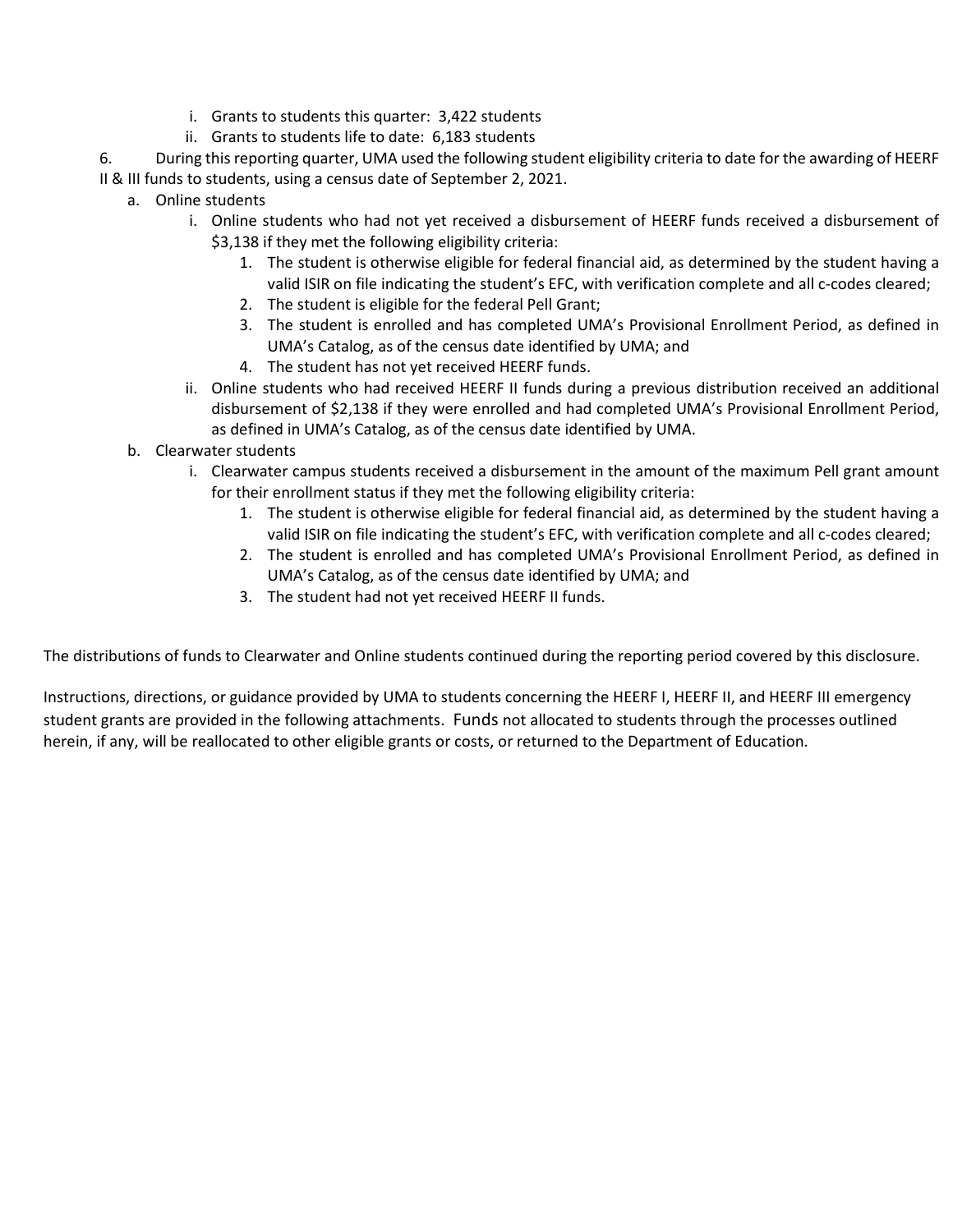- i. Grants to students this quarter: 3,422 students
- ii. Grants to students life to date: 6,183 students

6. During this reporting quarter, UMA used the following student eligibility criteria to date for the awarding of HEERF II & III funds to students, using a census date of September 2, 2021.

- a. Online students
	- i. Online students who had not yet received a disbursement of HEERF funds received a disbursement of \$3,138 if they met the following eligibility criteria:
		- 1. The student is otherwise eligible for federal financial aid, as determined by the student having a valid ISIR on file indicating the student's EFC, with verification complete and all c-codes cleared;
		- 2. The student is eligible for the federal Pell Grant;
		- 3. The student is enrolled and has completed UMA's Provisional Enrollment Period, as defined in UMA's Catalog, as of the census date identified by UMA; and
		- 4. The student has not yet received HEERF funds.
	- ii. Online students who had received HEERF II funds during a previous distribution received an additional disbursement of \$2,138 if they were enrolled and had completed UMA's Provisional Enrollment Period, as defined in UMA's Catalog, as of the census date identified by UMA.
	- b. Clearwater students
		- i. Clearwater campus students received a disbursement in the amount of the maximum Pell grant amount for their enrollment status if they met the following eligibility criteria:
			- 1. The student is otherwise eligible for federal financial aid, as determined by the student having a valid ISIR on file indicating the student's EFC, with verification complete and all c-codes cleared;
			- 2. The student is enrolled and has completed UMA's Provisional Enrollment Period, as defined in UMA's Catalog, as of the census date identified by UMA; and
			- 3. The student had not yet received HEERF II funds.

The distributions of funds to Clearwater and Online students continued during the reporting period covered by this disclosure.

Instructions, directions, or guidance provided by UMA to students concerning the HEERF I, HEERF II, and HEERF III emergency student grants are provided in the following attachments. Funds not allocated to students through the processes outlined herein, if any, will be reallocated to other eligible grants or costs, or returned to the Department of Education.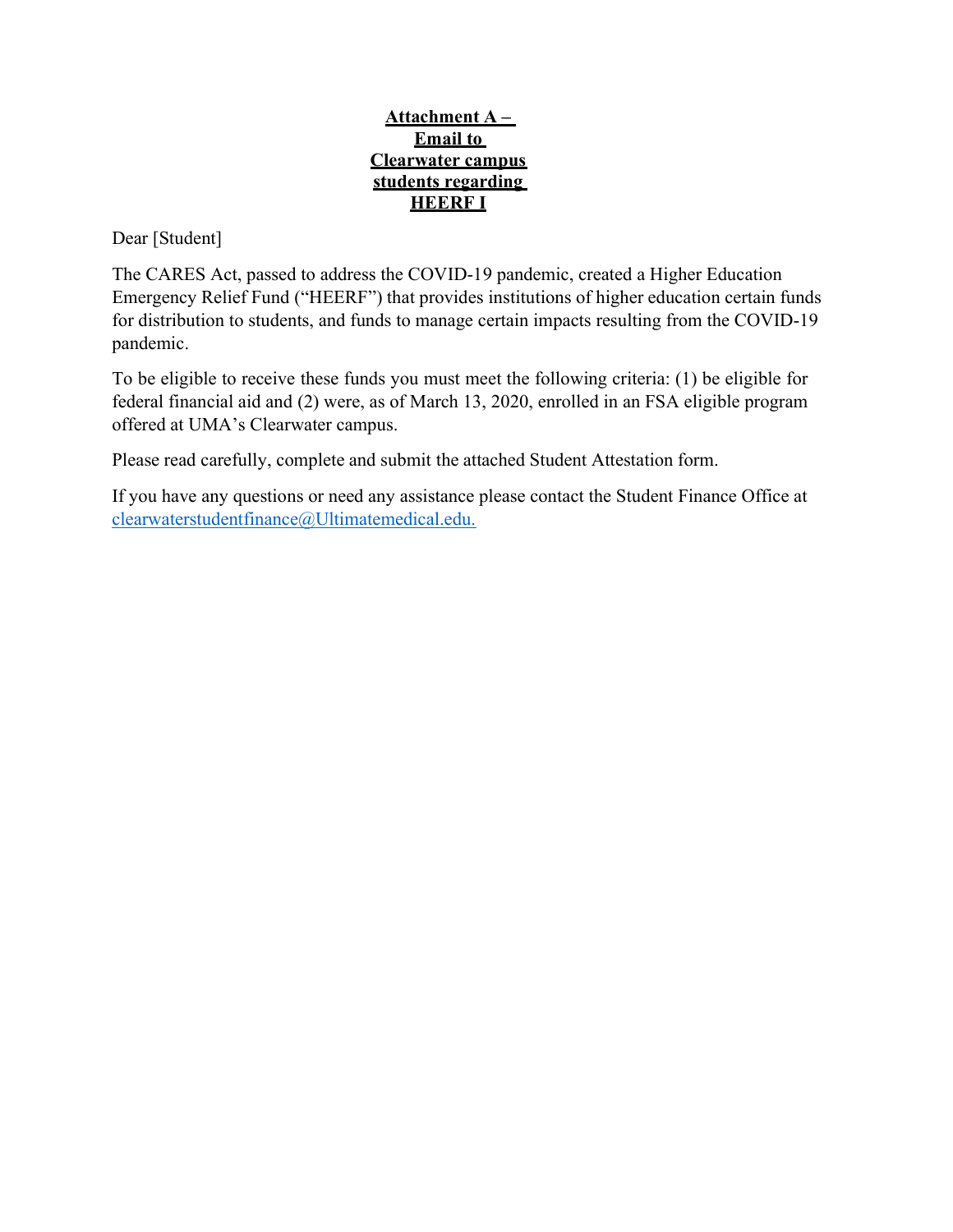## Attachment  $A -$ Email to Clearwater campus students regarding HEERF I

Dear [Student]

The CARES Act, passed to address the COVID-19 pandemic, created a Higher Education Emergency Relief Fund ("HEERF") that provides institutions of higher education certain funds for distribution to students, and funds to manage certain impacts resulting from the COVID-19 pandemic.

To be eligible to receive these funds you must meet the following criteria: (1) be eligible for federal financial aid and (2) were, as of March 13, 2020, enrolled in an FSA eligible program offered at UMA's Clearwater campus.

Please read carefully, complete and submit the attached Student Attestation form.

If you have any questions or need any assistance please contact the Student Finance Office at clearwaterstudentfinance@Ultimatemedical.edu.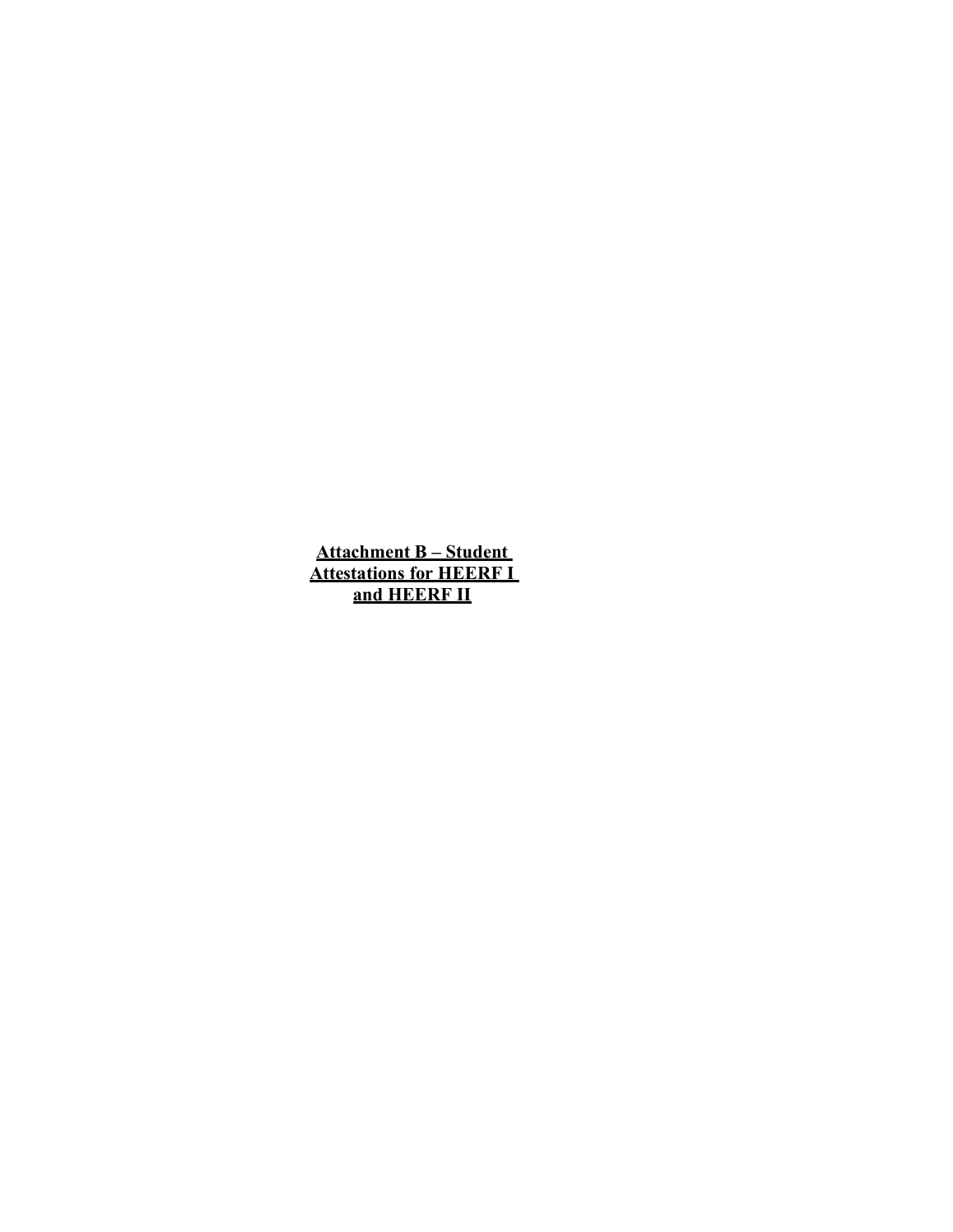Attachment B – Student Attestations for HEERF I and HEERF II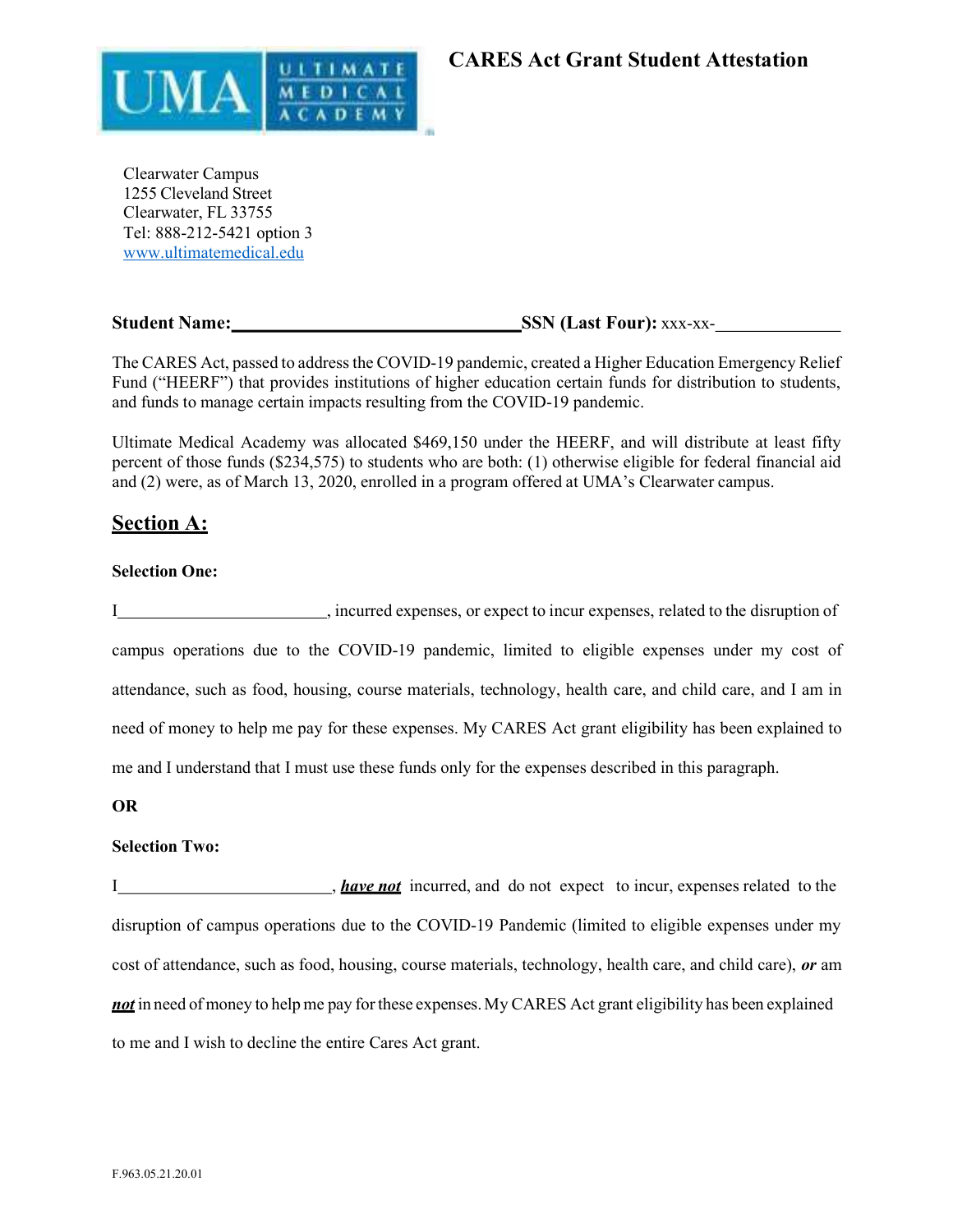

Clearwater Campus 1255 Cleveland Street Clearwater, FL 33755 Tel: 888-212-5421 option 3 www.ultimatemedical.edu

## Student Name: SSN (Last Four): xxx-xx-

The CARES Act, passed to address the COVID-19 pandemic, created a Higher Education Emergency Relief Fund ("HEERF") that provides institutions of higher education certain funds for distribution to students, and funds to manage certain impacts resulting from the COVID-19 pandemic.

Ultimate Medical Academy was allocated \$469,150 under the HEERF, and will distribute at least fifty percent of those funds (\$234,575) to students who are both: (1) otherwise eligible for federal financial aid and (2) were, as of March 13, 2020, enrolled in a program offered at UMA's Clearwater campus.

# Section A:

#### Selection One:

I , incurred expenses, or expect to incur expenses, related to the disruption of campus operations due to the COVID-19 pandemic, limited to eligible expenses under my cost of attendance, such as food, housing, course materials, technology, health care, and child care, and I am in need of money to help me pay for these expenses. My CARES Act grant eligibility has been explained to me and I understand that I must use these funds only for the expenses described in this paragraph.

#### OR

#### Selection Two:

I have not incurred, and do not expect to incur, expenses related to the disruption of campus operations due to the COVID-19 Pandemic (limited to eligible expenses under my cost of attendance, such as food, housing, course materials, technology, health care, and child care), or am not in need of money to help me pay for these expenses. My CARES Act grant eligibility has been explained to me and I wish to decline the entire Cares Act grant.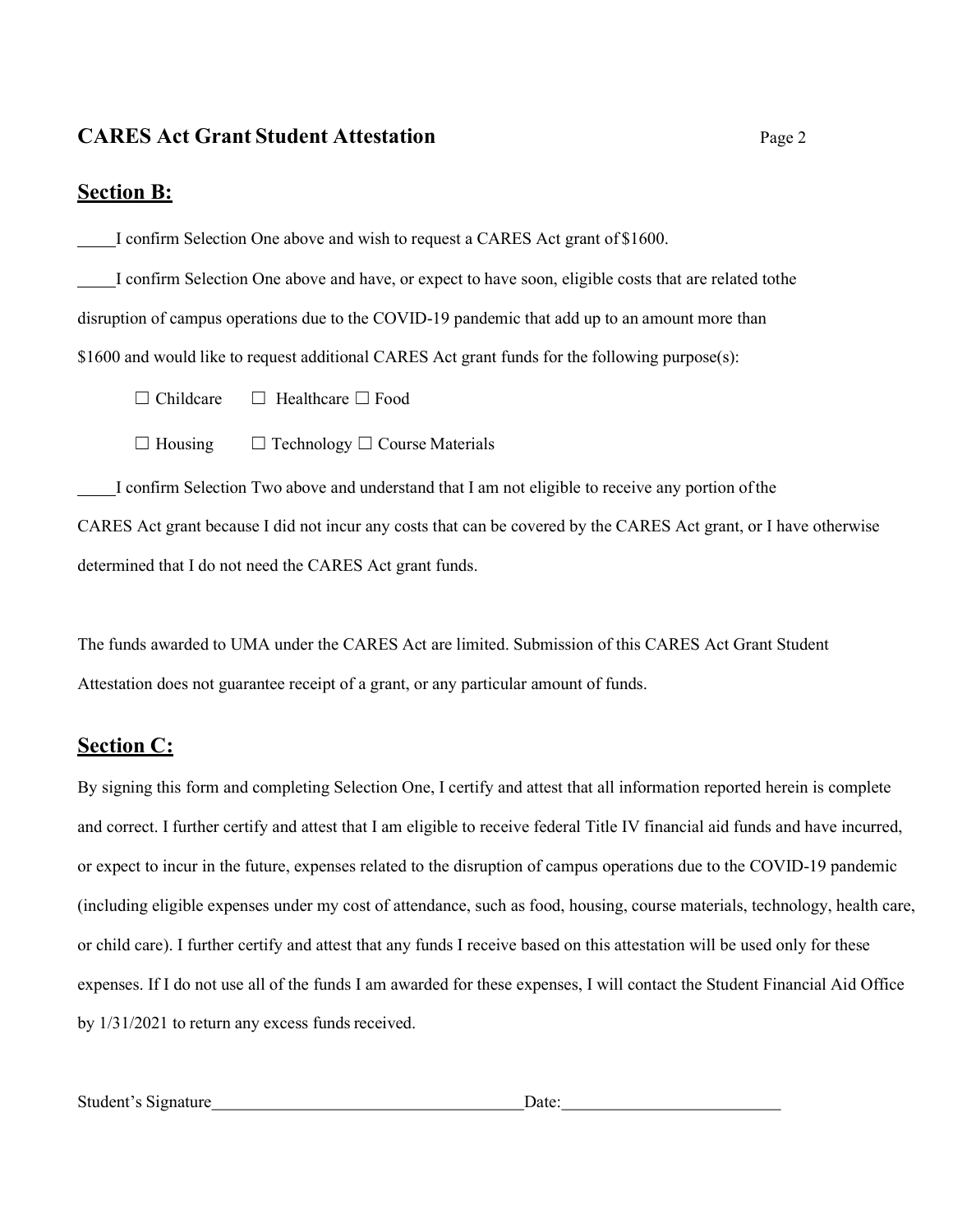# CARES Act Grant Student Attestation Page 2

# Section B:

I confirm Selection One above and wish to request a CARES Act grant of \$1600.

 I confirm Selection One above and have, or expect to have soon, eligible costs that are related tothe disruption of campus operations due to the COVID-19 pandemic that add up to an amount more than \$1600 and would like to request additional CARES Act grant funds for the following purpose(s):

☐ Childcare ☐ Healthcare ☐ Food

☐ Housing ☐ Technology ☐ Course Materials

 I confirm Selection Two above and understand that I am not eligible to receive any portion of the CARES Act grant because I did not incur any costs that can be covered by the CARES Act grant, or I have otherwise determined that I do not need the CARES Act grant funds.

The funds awarded to UMA under the CARES Act are limited. Submission of this CARES Act Grant Student Attestation does not guarantee receipt of a grant, or any particular amount of funds.

# Section C:

By signing this form and completing Selection One, I certify and attest that all information reported herein is complete and correct. I further certify and attest that I am eligible to receive federal Title IV financial aid funds and have incurred, or expect to incur in the future, expenses related to the disruption of campus operations due to the COVID-19 pandemic (including eligible expenses under my cost of attendance, such as food, housing, course materials, technology, health care, or child care). I further certify and attest that any funds I receive based on this attestation will be used only for these expenses. If I do not use all of the funds I am awarded for these expenses, I will contact the Student Financial Aid Office by 1/31/2021 to return any excess funds received.

| Student's Signature | Jate: |
|---------------------|-------|
|---------------------|-------|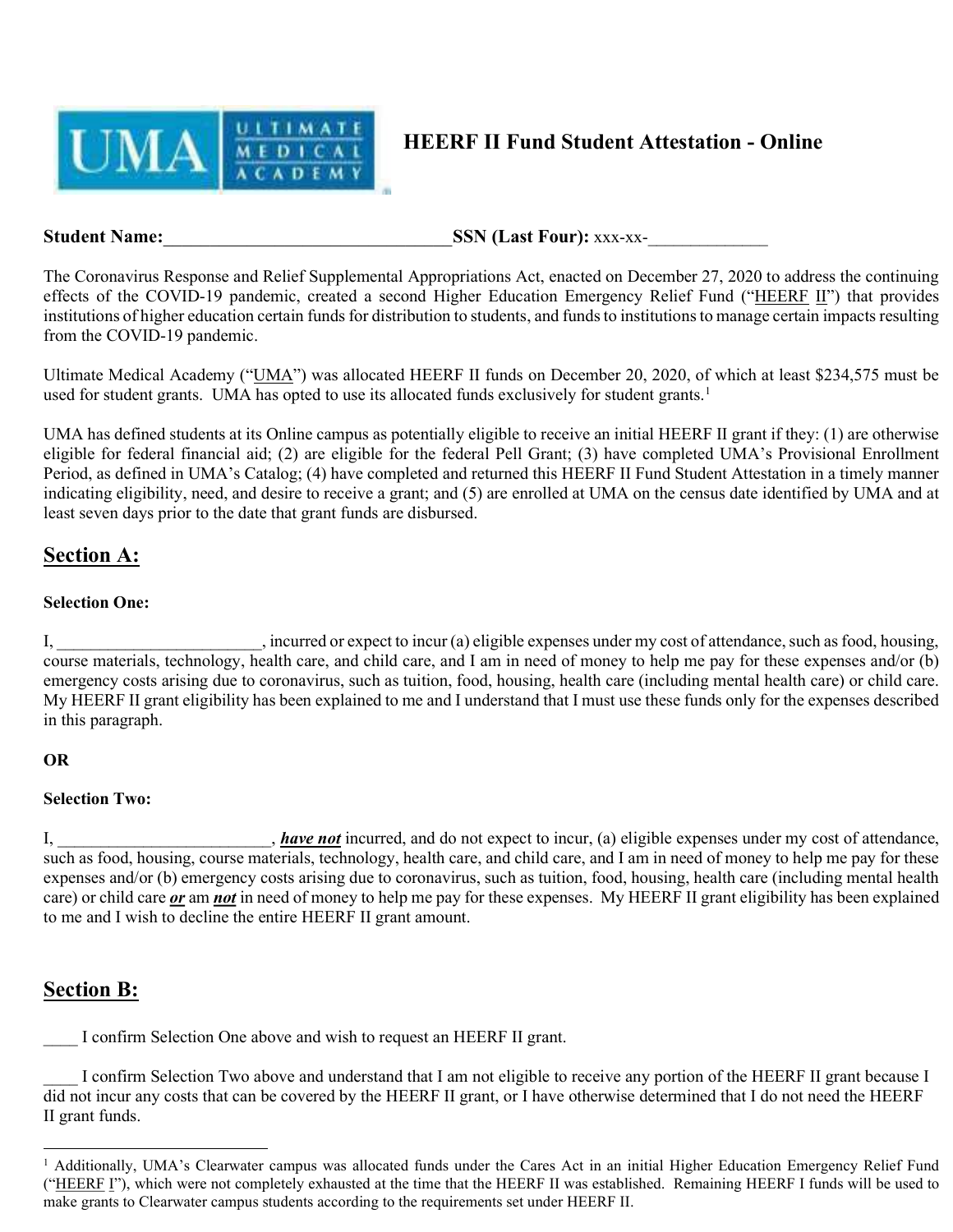

# HEERF II Fund Student Attestation - Online

Student Name: SSN (Last Four): xxx-xx-

The Coronavirus Response and Relief Supplemental Appropriations Act, enacted on December 27, 2020 to address the continuing effects of the COVID-19 pandemic, created a second Higher Education Emergency Relief Fund ("HEERF II") that provides institutions of higher education certain funds for distribution to students, and funds to institutions to manage certain impacts resulting from the COVID-19 pandemic.

Ultimate Medical Academy ("UMA") was allocated HEERF II funds on December 20, 2020, of which at least \$234,575 must be used for student grants. UMA has opted to use its allocated funds exclusively for student grants.<sup>1</sup>

UMA has defined students at its Online campus as potentially eligible to receive an initial HEERF II grant if they: (1) are otherwise eligible for federal financial aid; (2) are eligible for the federal Pell Grant; (3) have completed UMA's Provisional Enrollment Period, as defined in UMA's Catalog; (4) have completed and returned this HEERF II Fund Student Attestation in a timely manner indicating eligibility, need, and desire to receive a grant; and (5) are enrolled at UMA on the census date identified by UMA and at least seven days prior to the date that grant funds are disbursed.

# Section A:

## Selection One:

I, \_\_\_\_\_\_\_\_\_\_\_\_\_\_\_\_\_\_\_\_\_\_\_\_, incurred or expect to incur (a) eligible expenses under my cost of attendance, such as food, housing, course materials, technology, health care, and child care, and I am in need of money to help me pay for these expenses and/or (b) emergency costs arising due to coronavirus, such as tuition, food, housing, health care (including mental health care) or child care. My HEERF II grant eligibility has been explained to me and I understand that I must use these funds only for the expenses described in this paragraph.

## OR

## Selection Two:

I, have not incurred, and do not expect to incur, (a) eligible expenses under my cost of attendance, such as food, housing, course materials, technology, health care, and child care, and I am in need of money to help me pay for these expenses and/or (b) emergency costs arising due to coronavirus, such as tuition, food, housing, health care (including mental health care) or child care or am not in need of money to help me pay for these expenses. My HEERF II grant eligibility has been explained to me and I wish to decline the entire HEERF II grant amount.

# Section B:

I confirm Selection One above and wish to request an HEERF II grant.

I confirm Selection Two above and understand that I am not eligible to receive any portion of the HEERF II grant because I did not incur any costs that can be covered by the HEERF II grant, or I have otherwise determined that I do not need the HEERF II grant funds.

<sup>&</sup>lt;sup>1</sup> Additionally, UMA's Clearwater campus was allocated funds under the Cares Act in an initial Higher Education Emergency Relief Fund ("HEERF I"), which were not completely exhausted at the time that the HEERF II was established. Remaining HEERF I funds will be used to make grants to Clearwater campus students according to the requirements set under HEERF II.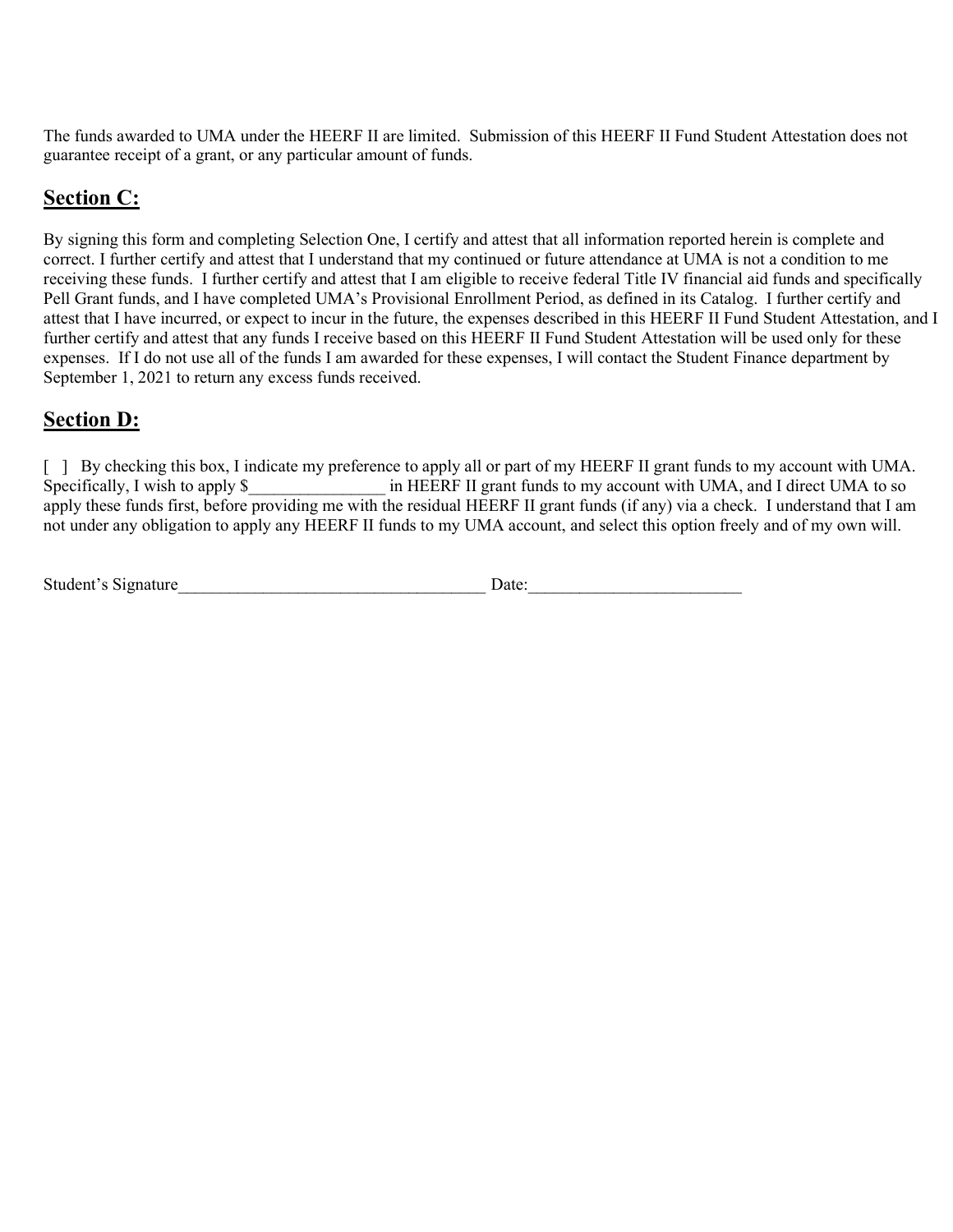The funds awarded to UMA under the HEERF II are limited. Submission of this HEERF II Fund Student Attestation does not guarantee receipt of a grant, or any particular amount of funds.

# Section C:

By signing this form and completing Selection One, I certify and attest that all information reported herein is complete and correct. I further certify and attest that I understand that my continued or future attendance at UMA is not a condition to me receiving these funds. I further certify and attest that I am eligible to receive federal Title IV financial aid funds and specifically Pell Grant funds, and I have completed UMA's Provisional Enrollment Period, as defined in its Catalog. I further certify and attest that I have incurred, or expect to incur in the future, the expenses described in this HEERF II Fund Student Attestation, and I further certify and attest that any funds I receive based on this HEERF II Fund Student Attestation will be used only for these expenses. If I do not use all of the funds I am awarded for these expenses, I will contact the Student Finance department by September 1, 2021 to return any excess funds received.

# Section D:

[ ] By checking this box, I indicate my preference to apply all or part of my HEERF II grant funds to my account with UMA. Specifically, I wish to apply \$  $\blacksquare$  in HEERF II grant funds to my account with UMA, and I direct UMA to so apply these funds first, before providing me with the residual HEERF II grant funds (if any) via a check. I understand that I am not under any obligation to apply any HEERF II funds to my UMA account, and select this option freely and of my own will.

| Student's Signature | Date: |  |
|---------------------|-------|--|
|                     |       |  |